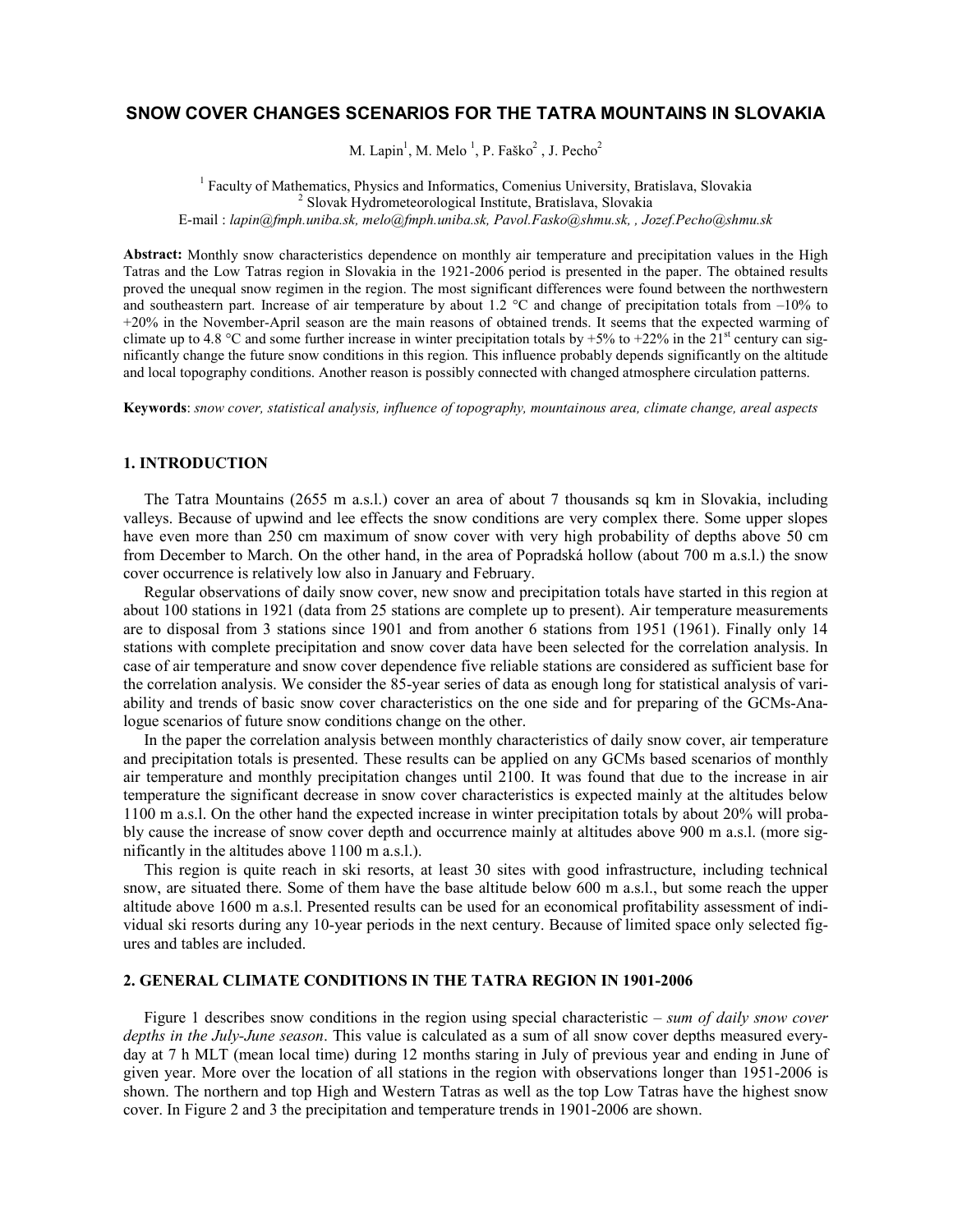# SNOW COVER CHANGES SCENARIOS FOR THE TATRA MOUNTAINS IN SLOVAKIA

M. Lapin<sup>1</sup>, M. Melo<sup>1</sup>, P. Faško<sup>2</sup>, J. Pecho<sup>2</sup>

<sup>1</sup> Faculty of Mathematics, Physics and Informatics, Comenius University, Bratislava, Slovakia 2 Slovak Hydrometeorological Institute, Bratislava, Slovakia E-mail : lapin@fmph.uniba.sk, melo@fmph.uniba.sk, Pavol.Fasko@shmu.sk, , Jozef.Pecho@shmu.sk

Abstract: Monthly snow characteristics dependence on monthly air temperature and precipitation values in the High Tatras and the Low Tatras region in Slovakia in the 1921-2006 period is presented in the paper. The obtained results proved the unequal snow regimen in the region. The most significant differences were found between the northwestern and southeastern part. Increase of air temperature by about 1.2  $\degree$ C and change of precipitation totals from  $-10\%$  to +20% in the November-April season are the main reasons of obtained trends. It seems that the expected warming of climate up to 4.8 °C and some further increase in winter precipitation totals by +5% to +22% in the  $21<sup>st</sup>$  century can significantly change the future snow conditions in this region. This influence probably depends significantly on the altitude and local topography conditions. Another reason is possibly connected with changed atmosphere circulation patterns.

Keywords: snow cover, statistical analysis, influence of topography, mountainous area, climate change, areal aspects

# 1. INTRODUCTION

The Tatra Mountains (2655 m a.s.l.) cover an area of about 7 thousands sq km in Slovakia, including valleys. Because of upwind and lee effects the snow conditions are very complex there. Some upper slopes have even more than 250 cm maximum of snow cover with very high probability of depths above 50 cm from December to March. On the other hand, in the area of Popradská hollow (about 700 m a.s.l.) the snow cover occurrence is relatively low also in January and February.

Regular observations of daily snow cover, new snow and precipitation totals have started in this region at about 100 stations in 1921 (data from 25 stations are complete up to present). Air temperature measurements are to disposal from 3 stations since 1901 and from another 6 stations from 1951 (1961). Finally only 14 stations with complete precipitation and snow cover data have been selected for the correlation analysis. In case of air temperature and snow cover dependence five reliable stations are considered as sufficient base for the correlation analysis. We consider the 85-year series of data as enough long for statistical analysis of variability and trends of basic snow cover characteristics on the one side and for preparing of the GCMs-Analogue scenarios of future snow conditions change on the other.

In the paper the correlation analysis between monthly characteristics of daily snow cover, air temperature and precipitation totals is presented. These results can be applied on any GCMs based scenarios of monthly air temperature and monthly precipitation changes until 2100. It was found that due to the increase in air temperature the significant decrease in snow cover characteristics is expected mainly at the altitudes below 1100 m a.s.l. On the other hand the expected increase in winter precipitation totals by about 20% will probably cause the increase of snow cover depth and occurrence mainly at altitudes above 900 m a.s.l. (more significantly in the altitudes above 1100 m a.s.l.).

This region is quite reach in ski resorts, at least 30 sites with good infrastructure, including technical snow, are situated there. Some of them have the base altitude below 600 m a.s.l., but some reach the upper altitude above 1600 m a.s.l. Presented results can be used for an economical profitability assessment of individual ski resorts during any 10-year periods in the next century. Because of limited space only selected figures and tables are included.

## 2. GENERAL CLIMATE CONDITIONS IN THE TATRA REGION IN 1901-2006

Figure 1 describes snow conditions in the region using special characteristic – sum of daily snow cover depths in the July-June season. This value is calculated as a sum of all snow cover depths measured everyday at 7 h MLT (mean local time) during 12 months staring in July of previous year and ending in June of given year. More over the location of all stations in the region with observations longer than 1951-2006 is shown. The northern and top High and Western Tatras as well as the top Low Tatras have the highest snow cover. In Figure 2 and 3 the precipitation and temperature trends in 1901-2006 are shown.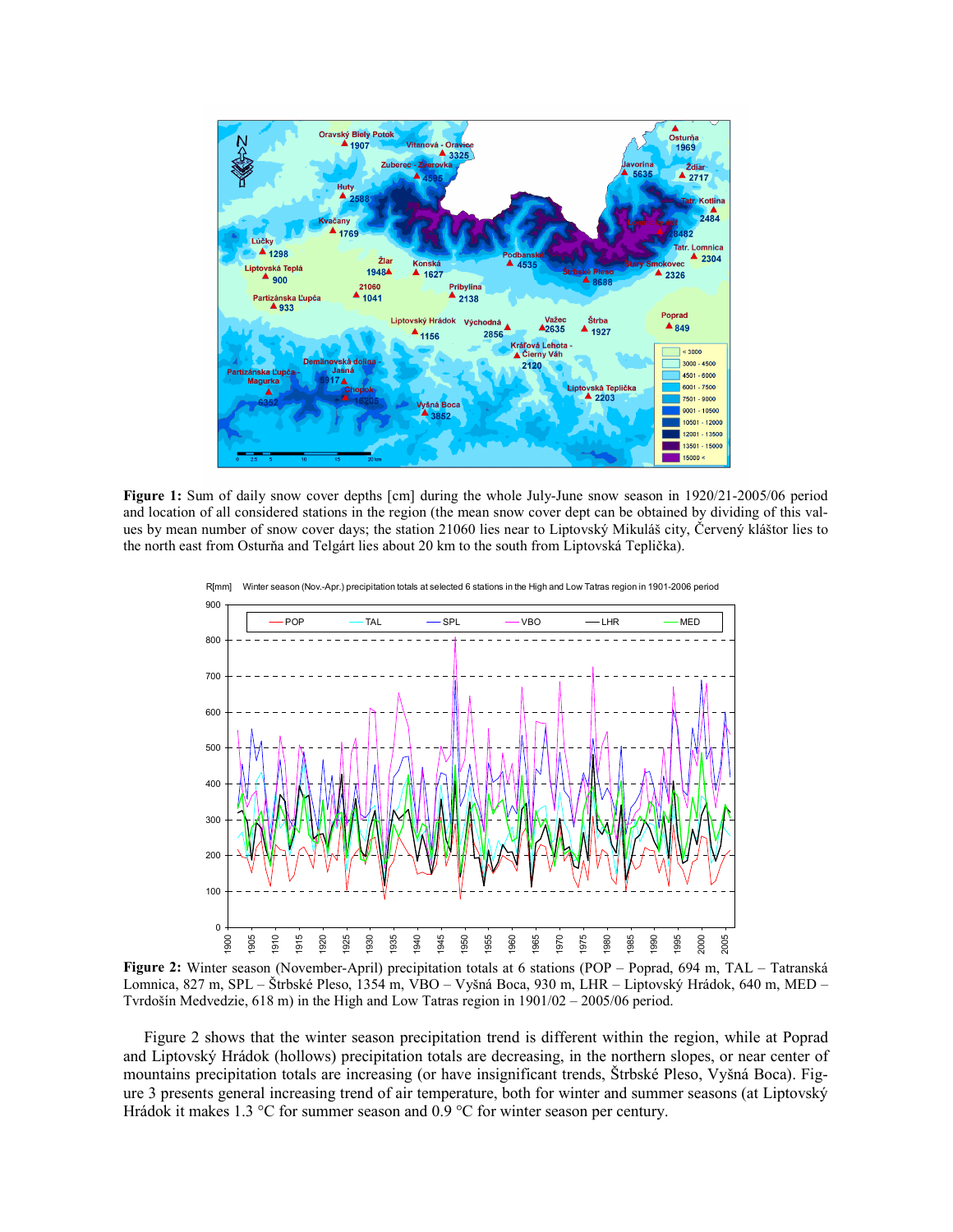

Figure 1: Sum of daily snow cover depths [cm] during the whole July-June snow season in 1920/21-2005/06 period and location of all considered stations in the region (the mean snow cover dept can be obtained by dividing of this values by mean number of snow cover days; the station 21060 lies near to Liptovský Mikuláš city, Červený kláštor lies to the north east from Osturňa and Telgárt lies about 20 km to the south from Liptovská Teplička).



Figure 2: Winter season (November-April) precipitation totals at 6 stations (POP – Poprad, 694 m, TAL – Tatranská Lomnica, 827 m, SPL – Štrbské Pleso, 1354 m, VBO – Vyšná Boca, 930 m, LHR – Liptovský Hrádok, 640 m, MED – Tvrdošín Medvedzie, 618 m) in the High and Low Tatras region in 1901/02 – 2005/06 period.

Figure 2 shows that the winter season precipitation trend is different within the region, while at Poprad and Liptovský Hrádok (hollows) precipitation totals are decreasing, in the northern slopes, or near center of mountains precipitation totals are increasing (or have insignificant trends, Štrbské Pleso, Vyšná Boca). Figure 3 presents general increasing trend of air temperature, both for winter and summer seasons (at Liptovský Hrádok it makes 1.3 °C for summer season and 0.9 °C for winter season per century.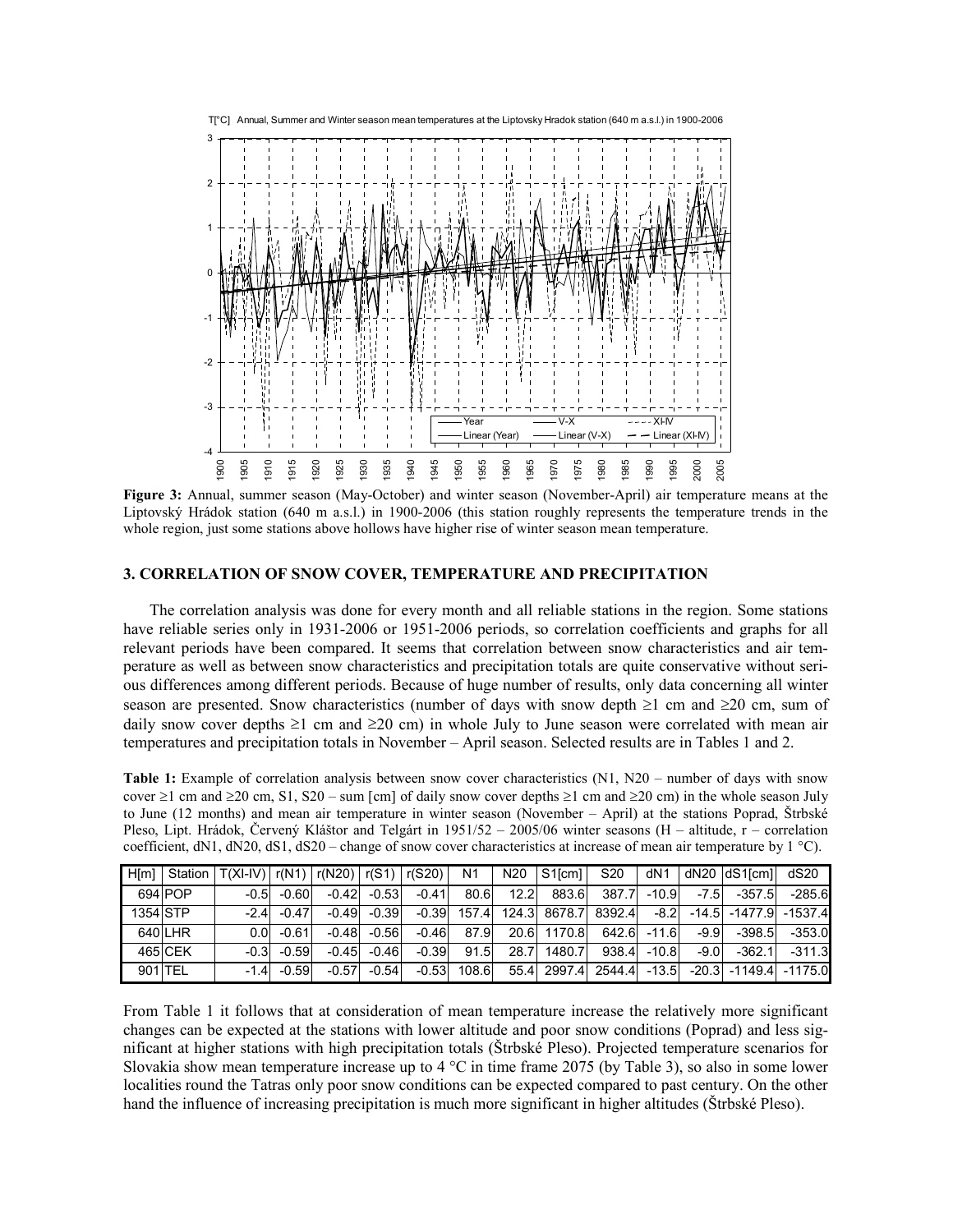

Figure 3: Annual, summer season (May-October) and winter season (November-April) air temperature means at the Liptovský Hrádok station (640 m a.s.l.) in 1900-2006 (this station roughly represents the temperature trends in the whole region, just some stations above hollows have higher rise of winter season mean temperature.

#### 3. CORRELATION OF SNOW COVER, TEMPERATURE AND PRECIPITATION

The correlation analysis was done for every month and all reliable stations in the region. Some stations have reliable series only in 1931-2006 or 1951-2006 periods, so correlation coefficients and graphs for all relevant periods have been compared. It seems that correlation between snow characteristics and air temperature as well as between snow characteristics and precipitation totals are quite conservative without serious differences among different periods. Because of huge number of results, only data concerning all winter season are presented. Snow characteristics (number of days with snow depth  $\geq 1$  cm and  $\geq 20$  cm, sum of daily snow cover depths  $\geq$ 1 cm and  $\geq$ 20 cm) in whole July to June season were correlated with mean air temperatures and precipitation totals in November – April season. Selected results are in Tables 1 and 2.

Table 1: Example of correlation analysis between snow cover characteristics (N1, N20 – number of days with snow cover  $\geq$ 1 cm and  $\geq$ 20 cm, S1, S20 – sum [cm] of daily snow cover depths  $\geq$ 1 cm and  $\geq$ 20 cm) in the whole season July to June (12 months) and mean air temperature in winter season (November – April) at the stations Poprad, Štrbské Pleso, Lipt. Hrádok, Červený Kláštor and Telgárt in 1951/52 – 2005/06 winter seasons (H – altitude, r – correlation coefficient, dN1, dN20, dS1, dS20 – change of snow cover characteristics at increase of mean air temperature by  $1 \degree C$ ).

| H[m]     | Station | $T(XI-IV)$ $r(N1)$ $r(N20)$ $r(S1)$ $r(S20)$ |         |         |         |         | N <sub>1</sub> | N <sub>20</sub> | S <sub>1</sub> <sub>cm</sub> <sub>1</sub> | S <sub>20</sub> | dN <sub>1</sub> |        | dN20 dS1[cm]                | dS20      |
|----------|---------|----------------------------------------------|---------|---------|---------|---------|----------------|-----------------|-------------------------------------------|-----------------|-----------------|--------|-----------------------------|-----------|
|          | 694 POP | $-0.5$                                       | $-0.60$ | $-0.42$ | $-0.53$ | $-0.41$ | 80.6           | 12.2            | 883.6                                     | 387.7           | $-10.9$         | $-7.5$ | $-357.5$                    | $-285.6$  |
| 1354 STP |         | $-2.4$                                       | $-0.47$ | $-0.49$ | $-0.39$ | $-0.39$ |                |                 | 157.4 124.3 8678.7 8392.4                 |                 | $-8.2$          |        | -14.5 -1477.9               | $-1537.4$ |
|          | 640LHR  | 0.0                                          | $-0.61$ | $-0.48$ | $-0.56$ | $-0.46$ | 87.9           |                 | 20.6 1170.8                               | 642.6           | $-11.6$         | $-9.9$ | $-398.5$                    | $-353.0$  |
|          | 465 CEK | $-0.3$                                       | $-0.59$ | $-0.45$ | $-0.46$ | $-0.39$ | 91.5           | 28.7            | 1480.7                                    | 938.4           | $-10.8$         | $-9.0$ | $-362.1$                    | $-311.3$  |
| 901 TEL  |         | $-1.4$                                       | $-0.59$ | $-0.57$ | $-0.54$ | $-0.53$ | 108.6          |                 | 55.4 2997.4 2544.4                        |                 | $-13.5$         |        | $-20.3$ $-1149.4$ $-1175.0$ |           |

From Table 1 it follows that at consideration of mean temperature increase the relatively more significant changes can be expected at the stations with lower altitude and poor snow conditions (Poprad) and less significant at higher stations with high precipitation totals (Štrbské Pleso). Projected temperature scenarios for Slovakia show mean temperature increase up to 4 °C in time frame 2075 (by Table 3), so also in some lower localities round the Tatras only poor snow conditions can be expected compared to past century. On the other hand the influence of increasing precipitation is much more significant in higher altitudes (Štrbské Pleso).